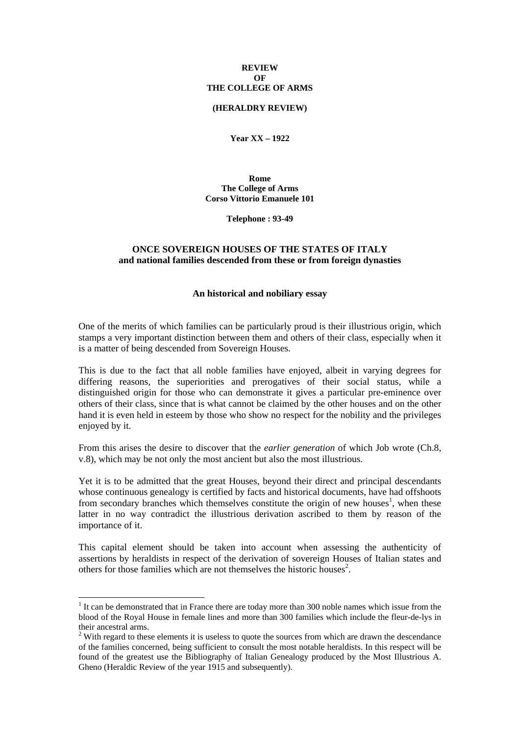### **REVIEW OF THE COLLEGE OF ARMS**

### **(HERALDRY REVIEW)**

**Year XX – 1922** 

**Rome The College of Arms Corso Vittorio Emanuele 101** 

**Telephone : 93-49** 

# **ONCE SOVEREIGN HOUSES OF THE STATES OF ITALY and national families descended from these or from foreign dynasties**

#### **An historical and nobiliary essay**

One of the merits of which families can be particularly proud is their illustrious origin, which stamps a very important distinction between them and others of their class, especially when it is a matter of being descended from Sovereign Houses.

This is due to the fact that all noble families have enjoyed, albeit in varying degrees for differing reasons, the superiorities and prerogatives of their social status, while a distinguished origin for those who can demonstrate it gives a particular pre-eminence over others of their class, since that is what cannot be claimed by the other houses and on the other hand it is even held in esteem by those who show no respect for the nobility and the privileges enjoyed by it.

From this arises the desire to discover that the *earlier generation* of which Job wrote (Ch.8, v.8), which may be not only the most ancient but also the most illustrious.

Yet it is to be admitted that the great Houses, beyond their direct and principal descendants whose continuous genealogy is certified by facts and historical documents, have had offshoots from secondary branches which themselves constitute the origin of new houses<sup>1</sup>, when these latter in no way contradict the illustrious derivation ascribed to them by reason of the importance of it.

This capital element should be taken into account when assessing the authenticity of assertions by heraldists in respect of the derivation of sovereign Houses of Italian states and others for those families which are not themselves the historic houses<sup>2</sup>.

1

<sup>&</sup>lt;sup>1</sup> It can be demonstrated that in France there are today more than 300 noble names which issue from the blood of the Royal House in female lines and more than 300 families which include the fleur-de-lys in their ancestral arms.

 $2$  With regard to these elements it is useless to quote the sources from which are drawn the descendance of the families concerned, being sufficient to consult the most notable heraldists. In this respect will be found of the greatest use the Bibliography of Italian Genealogy produced by the Most Illustrious A. Gheno (Heraldic Review of the year 1915 and subsequently).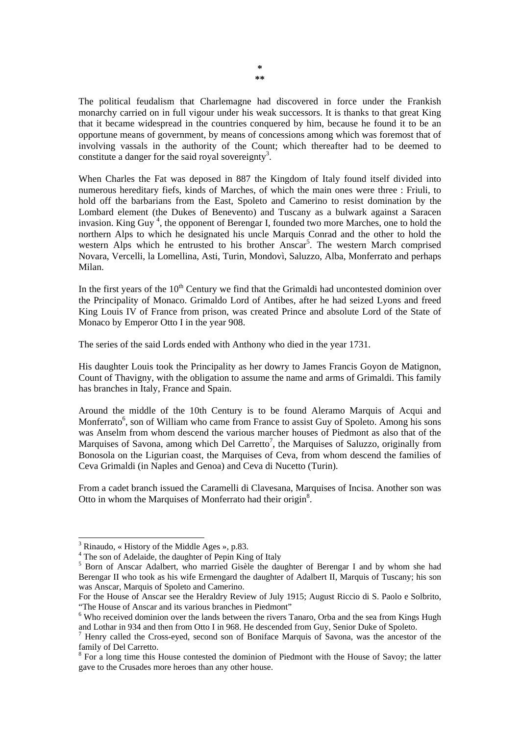The political feudalism that Charlemagne had discovered in force under the Frankish monarchy carried on in full vigour under his weak successors. It is thanks to that great King that it became widespread in the countries conquered by him, because he found it to be an opportune means of government, by means of concessions among which was foremost that of involving vassals in the authority of the Count; which thereafter had to be deemed to constitute a danger for the said royal sovereignty<sup>3</sup>.

When Charles the Fat was deposed in 887 the Kingdom of Italy found itself divided into numerous hereditary fiefs, kinds of Marches, of which the main ones were three : Friuli, to hold off the barbarians from the East, Spoleto and Camerino to resist domination by the Lombard element (the Dukes of Benevento) and Tuscany as a bulwark against a Saracen invasion. King Guy<sup>4</sup>, the opponent of Berengar I, founded two more Marches, one to hold the northern Alps to which he designated his uncle Marquis Conrad and the other to hold the western Alps which he entrusted to his brother Anscar<sup>5</sup>. The western March comprised Novara, Vercelli, la Lomellina, Asti, Turin, Mondovì, Saluzzo, Alba, Monferrato and perhaps Milan.

In the first years of the  $10<sup>th</sup>$  Century we find that the Grimaldi had uncontested dominion over the Principality of Monaco. Grimaldo Lord of Antibes, after he had seized Lyons and freed King Louis IV of France from prison, was created Prince and absolute Lord of the State of Monaco by Emperor Otto I in the year 908.

The series of the said Lords ended with Anthony who died in the year 1731.

His daughter Louis took the Principality as her dowry to James Francis Goyon de Matignon, Count of Thavigny, with the obligation to assume the name and arms of Grimaldi. This family has branches in Italy, France and Spain.

Around the middle of the 10th Century is to be found Aleramo Marquis of Acqui and Monferrato<sup>6</sup>, son of William who came from France to assist Guy of Spoleto. Among his sons was Anselm from whom descend the various marcher houses of Piedmont as also that of the Marquises of Savona, among which Del Carretto<sup>7</sup>, the Marquises of Saluzzo, originally from Bonosola on the Ligurian coast, the Marquises of Ceva, from whom descend the families of Ceva Grimaldi (in Naples and Genoa) and Ceva di Nucetto (Turin).

From a cadet branch issued the Caramelli di Clavesana, Marquises of Incisa. Another son was Otto in whom the Marquises of Monferrato had their origin<sup>8</sup>.

<sup>3</sup> Rinaudo, « History of the Middle Ages », p.83.

<sup>&</sup>lt;sup>4</sup> The son of Adelaide, the daughter of Pepin King of Italy

<sup>&</sup>lt;sup>5</sup> Born of Anscar Adalbert, who married Gisèle the daughter of Berengar I and by whom she had Berengar II who took as his wife Ermengard the daughter of Adalbert II, Marquis of Tuscany; his son was Anscar, Marquis of Spoleto and Camerino.

For the House of Anscar see the Heraldry Review of July 1915; August Riccio di S. Paolo e Solbrito, "The House of Anscar and its various branches in Piedmont"

<sup>&</sup>lt;sup>6</sup> Who received dominion over the lands between the rivers Tanaro, Orba and the sea from Kings Hugh and Lothar in 934 and then from Otto I in 968. He descended from Guy, Senior Duke of Spoleto.

<sup>&</sup>lt;sup>7</sup> Henry called the Cross-eyed, second son of Boniface Marquis of Savona, was the ancestor of the family of Del Carretto.

<sup>&</sup>lt;sup>8</sup> For a long time this House contested the dominion of Piedmont with the House of Savoy; the latter gave to the Crusades more heroes than any other house.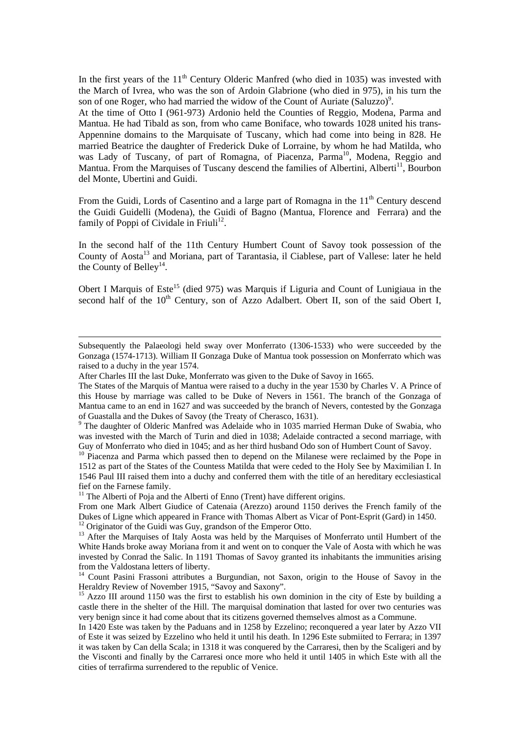In the first years of the  $11<sup>th</sup>$  Century Olderic Manfred (who died in 1035) was invested with the March of Ivrea, who was the son of Ardoin Glabrione (who died in 975), in his turn the son of one Roger, who had married the widow of the Count of Auriate (Saluzzo)<sup>9</sup>.

At the time of Otto I (961-973) Ardonio held the Counties of Reggio, Modena, Parma and Mantua. He had Tibald as son, from who came Boniface, who towards 1028 united his trans-Appennine domains to the Marquisate of Tuscany, which had come into being in 828. He married Beatrice the daughter of Frederick Duke of Lorraine, by whom he had Matilda, who was Lady of Tuscany, of part of Romagna, of Piacenza, Parma<sup>10</sup>, Modena, Reggio and Mantua. From the Marquises of Tuscany descend the families of Albertini, Alberti<sup>11</sup>, Bourbon del Monte, Ubertini and Guidi.

From the Guidi, Lords of Casentino and a large part of Romagna in the 11<sup>th</sup> Century descend the Guidi Guidelli (Modena), the Guidi of Bagno (Mantua, Florence and Ferrara) and the family of Poppi of Cividale in Friuli<sup>12</sup>.

In the second half of the 11th Century Humbert Count of Savoy took possession of the County of Aosta<sup>13</sup> and Moriana, part of Tarantasia, il Ciablese, part of Vallese: later he held the County of Belley<sup>14</sup>.

Obert I Marquis of Este<sup>15</sup> (died 975) was Marquis if Liguria and Count of Lunigiaua in the second half of the 10<sup>th</sup> Century, son of Azzo Adalbert. Obert II, son of the said Obert I,

-

<sup>11</sup> The Alberti of Poja and the Alberti of Enno (Trent) have different origins.

From one Mark Albert Giudice of Catenaia (Arezzo) around 1150 derives the French family of the Dukes of Ligne which appeared in France with Thomas Albert as Vicar of Pont-Esprit (Gard) in 1450. 12 Originator of the Guidi was Guy, grandson of the Emperor Otto.

Subsequently the Palaeologi held sway over Monferrato (1306-1533) who were succeeded by the Gonzaga (1574-1713). William II Gonzaga Duke of Mantua took possession on Monferrato which was raised to a duchy in the year 1574.

After Charles III the last Duke, Monferrato was given to the Duke of Savoy in 1665.

The States of the Marquis of Mantua were raised to a duchy in the year 1530 by Charles V. A Prince of this House by marriage was called to be Duke of Nevers in 1561. The branch of the Gonzaga of Mantua came to an end in 1627 and was succeeded by the branch of Nevers, contested by the Gonzaga of Guastalla and the Dukes of Savoy (the Treaty of Cherasco, 1631).

<sup>&</sup>lt;sup>9</sup> The daughter of Olderic Manfred was Adelaide who in 1035 married Herman Duke of Swabia, who was invested with the March of Turin and died in 1038; Adelaide contracted a second marriage, with Guy of Monferrato who died in 1045; and as her third husband Odo son of Humbert Count of Savoy.

 $10$  Piacenza and Parma which passed then to depend on the Milanese were reclaimed by the Pope in 1512 as part of the States of the Countess Matilda that were ceded to the Holy See by Maximilian I. In 1546 Paul III raised them into a duchy and conferred them with the title of an hereditary ecclesiastical fief on the Farnese family.

<sup>&</sup>lt;sup>13</sup> After the Marquises of Italy Aosta was held by the Marquises of Monferrato until Humbert of the White Hands broke away Moriana from it and went on to conquer the Vale of Aosta with which he was invested by Conrad the Salic. In 1191 Thomas of Savoy granted its inhabitants the immunities arising from the Valdostana letters of liberty.

<sup>&</sup>lt;sup>14</sup> Count Pasini Frassoni attributes a Burgundian, not Saxon, origin to the House of Savoy in the Heraldry Review of November 1915, "Savoy and Saxony".

<sup>&</sup>lt;sup>15</sup> Azzo III around 1150 was the first to establish his own dominion in the city of Este by building a castle there in the shelter of the Hill. The marquisal domination that lasted for over two centuries was very benign since it had come about that its citizens governed themselves almost as a Commune.

In 1420 Este was taken by the Paduans and in 1258 by Ezzelino; reconquered a year later by Azzo VII of Este it was seized by Ezzelino who held it until his death. In 1296 Este submiited to Ferrara; in 1397 it was taken by Can della Scala; in 1318 it was conquered by the Carraresi, then by the Scaligeri and by the Visconti and finally by the Carraresi once more who held it until 1405 in which Este with all the cities of terrafirma surrendered to the republic of Venice.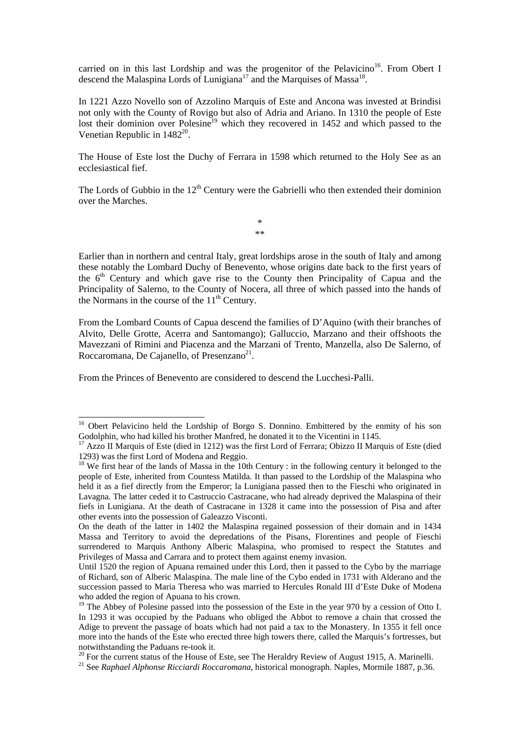carried on in this last Lordship and was the progenitor of the Pelavicino<sup>16</sup>. From Obert I descend the Malaspina Lords of Lunigiana<sup>17</sup> and the Marquises of Massa<sup>18</sup>.

In 1221 Azzo Novello son of Azzolino Marquis of Este and Ancona was invested at Brindisi not only with the County of Rovigo but also of Adria and Ariano. In 1310 the people of Este lost their dominion over Polesine<sup>19</sup> which they recovered in 1452 and which passed to the Venetian Republic in  $1482^{20}$ .

The House of Este lost the Duchy of Ferrara in 1598 which returned to the Holy See as an ecclesiastical fief.

The Lords of Gubbio in the  $12<sup>th</sup>$  Century were the Gabrielli who then extended their dominion over the Marches.

> \* \*\*

Earlier than in northern and central Italy, great lordships arose in the south of Italy and among these notably the Lombard Duchy of Benevento, whose origins date back to the first years of the  $6<sup>th</sup>$  Century and which gave rise to the County then Principality of Capua and the Principality of Salerno, to the County of Nocera, all three of which passed into the hands of the Normans in the course of the  $11<sup>th</sup>$  Century.

From the Lombard Counts of Capua descend the families of D'Aquino (with their branches of Alvito, Delle Grotte, Acerra and Santomango); Galluccio, Marzano and their offshoots the Mavezzani of Rimini and Piacenza and the Marzani of Trento, Manzella, also De Salerno, of Roccaromana, De Cajanello, of Presenzano $2<sup>1</sup>$ .

From the Princes of Benevento are considered to descend the Lucchesi-Palli.

1

<sup>&</sup>lt;sup>16</sup> Obert Pelavicino held the Lordship of Borgo S. Donnino. Embittered by the enmity of his son Godolphin, who had killed his brother Manfred, he donated it to the Vicentini in 1145.

<sup>&</sup>lt;sup>17</sup> Azzo II Marquis of Este (died in 1212) was the first Lord of Ferrara; Obizzo II Marquis of Este (died 1293) was the first Lord of Modena and Reggio.

<sup>&</sup>lt;sup>18</sup> We first hear of the lands of Massa in the 10th Century : in the following century it belonged to the people of Este, inherited from Countess Matilda. It than passed to the Lordship of the Malaspina who held it as a fief directly from the Emperor; la Lunigiana passed then to the Fieschi who originated in Lavagna. The latter ceded it to Castruccio Castracane, who had already deprived the Malaspina of their fiefs in Lunigiana. At the death of Castracane in 1328 it came into the possession of Pisa and after other events into the possession of Galeazzo Visconti.

On the death of the latter in 1402 the Malaspina regained possession of their domain and in 1434 Massa and Territory to avoid the depredations of the Pisans, Florentines and people of Fieschi surrendered to Marquis Anthony Alberic Malaspina, who promised to respect the Statutes and Privileges of Massa and Carrara and to protect them against enemy invasion.

Until 1520 the region of Apuana remained under this Lord, then it passed to the Cybo by the marriage of Richard, son of Alberic Malaspina. The male line of the Cybo ended in 1731 with Alderano and the succession passed to Maria Theresa who was married to Hercules Ronald III d'Este Duke of Modena who added the region of Apuana to his crown.

<sup>&</sup>lt;sup>19</sup> The Abbey of Polesine passed into the possession of the Este in the year 970 by a cession of Otto I. In 1293 it was occupied by the Paduans who obliged the Abbot to remove a chain that crossed the Adige to prevent the passage of boats which had not paid a tax to the Monastery. In 1355 it fell once more into the hands of the Este who erected three high towers there, called the Marquis's fortresses, but notwithstanding the Paduans re-took it.

<sup>&</sup>lt;sup>20</sup> For the current status of the House of Este, see The Heraldry Review of August 1915, A. Marinelli.<br><sup>21</sup> See *Raphael Alphonse Ricciardi Roccaromana*, historical monograph. Naples, Mormile 1887, p.36.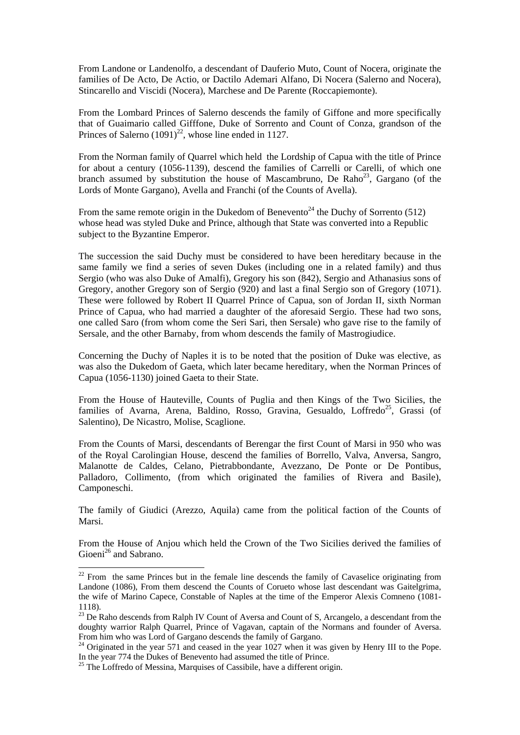From Landone or Landenolfo, a descendant of Dauferio Muto, Count of Nocera, originate the families of De Acto, De Actio, or Dactilo Ademari Alfano, Di Nocera (Salerno and Nocera), Stincarello and Viscidi (Nocera), Marchese and De Parente (Roccapiemonte).

From the Lombard Princes of Salerno descends the family of Giffone and more specifically that of Guaimario called Gifffone, Duke of Sorrento and Count of Conza, grandson of the Princes of Salerno  $(1091)^{22}$ , whose line ended in 1127.

From the Norman family of Quarrel which held the Lordship of Capua with the title of Prince for about a century (1056-1139), descend the families of Carrelli or Carelli, of which one branch assumed by substitution the house of Mascambruno, De Raho<sup>23</sup>, Gargano (of the Lords of Monte Gargano), Avella and Franchi (of the Counts of Avella).

From the same remote origin in the Dukedom of Benevento<sup>24</sup> the Duchy of Sorrento (512) whose head was styled Duke and Prince, although that State was converted into a Republic subject to the Byzantine Emperor.

The succession the said Duchy must be considered to have been hereditary because in the same family we find a series of seven Dukes (including one in a related family) and thus Sergio (who was also Duke of Amalfi), Gregory his son (842), Sergio and Athanasius sons of Gregory, another Gregory son of Sergio (920) and last a final Sergio son of Gregory (1071). These were followed by Robert II Quarrel Prince of Capua, son of Jordan II, sixth Norman Prince of Capua, who had married a daughter of the aforesaid Sergio. These had two sons, one called Saro (from whom come the Seri Sari, then Sersale) who gave rise to the family of Sersale, and the other Barnaby, from whom descends the family of Mastrogiudice.

Concerning the Duchy of Naples it is to be noted that the position of Duke was elective, as was also the Dukedom of Gaeta, which later became hereditary, when the Norman Princes of Capua (1056-1130) joined Gaeta to their State.

From the House of Hauteville, Counts of Puglia and then Kings of the Two Sicilies, the families of Avarna, Arena, Baldino, Rosso, Gravina, Gesualdo, Loffredo<sup>25</sup>, Grassi (of Salentino), De Nicastro, Molise, Scaglione.

From the Counts of Marsi, descendants of Berengar the first Count of Marsi in 950 who was of the Royal Carolingian House, descend the families of Borrello, Valva, Anversa, Sangro, Malanotte de Caldes, Celano, Pietrabbondante, Avezzano, De Ponte or De Pontibus, Palladoro, Collimento, (from which originated the families of Rivera and Basile), Camponeschi.

The family of Giudici (Arezzo, Aquila) came from the political faction of the Counts of Marsi.

From the House of Anjou which held the Crown of the Two Sicilies derived the families of Gioeni<sup>26</sup> and Sabrano.

<sup>&</sup>lt;sup>22</sup> From the same Princes but in the female line descends the family of Cavaselice originating from Landone (1086), From them descend the Counts of Corueto whose last descendant was Gaitelgrima, the wife of Marino Capece, Constable of Naples at the time of the Emperor Alexis Comneno (1081- 1118).

<sup>&</sup>lt;sup>23</sup> De Raho descends from Ralph IV Count of Aversa and Count of S, Arcangelo, a descendant from the doughty warrior Ralph Quarrel, Prince of Vagavan, captain of the Normans and founder of Aversa. From him who was Lord of Gargano descends the family of Gargano.

<sup>&</sup>lt;sup>24</sup> Originated in the year 571 and ceased in the year 1027 when it was given by Henry III to the Pope. In the year 774 the Dukes of Benevento had assumed the title of Prince.

<sup>&</sup>lt;sup>25</sup> The Loffredo of Messina, Marquises of Cassibile, have a different origin.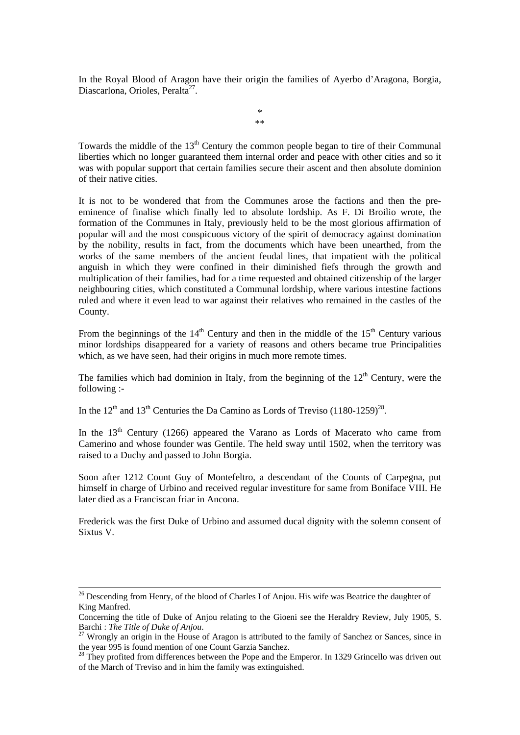In the Royal Blood of Aragon have their origin the families of Ayerbo d'Aragona, Borgia, Diascarlona, Orioles, Peralta<sup>27</sup>.

> \* \*\*

Towards the middle of the  $13<sup>th</sup>$  Century the common people began to tire of their Communal liberties which no longer guaranteed them internal order and peace with other cities and so it was with popular support that certain families secure their ascent and then absolute dominion of their native cities.

It is not to be wondered that from the Communes arose the factions and then the preeminence of finalise which finally led to absolute lordship. As F. Di Broilio wrote, the formation of the Communes in Italy, previously held to be the most glorious affirmation of popular will and the most conspicuous victory of the spirit of democracy against domination by the nobility, results in fact, from the documents which have been unearthed, from the works of the same members of the ancient feudal lines, that impatient with the political anguish in which they were confined in their diminished fiefs through the growth and multiplication of their families, had for a time requested and obtained citizenship of the larger neighbouring cities, which constituted a Communal lordship, where various intestine factions ruled and where it even lead to war against their relatives who remained in the castles of the County.

From the beginnings of the  $14<sup>th</sup>$  Century and then in the middle of the  $15<sup>th</sup>$  Century various minor lordships disappeared for a variety of reasons and others became true Principalities which, as we have seen, had their origins in much more remote times.

The families which had dominion in Italy, from the beginning of the  $12<sup>th</sup>$  Century, were the following :-

In the  $12<sup>th</sup>$  and  $13<sup>th</sup>$  Centuries the Da Camino as Lords of Treviso (1180-1259)<sup>28</sup>.

In the  $13<sup>th</sup>$  Century (1266) appeared the Varano as Lords of Macerato who came from Camerino and whose founder was Gentile. The held sway until 1502, when the territory was raised to a Duchy and passed to John Borgia.

Soon after 1212 Count Guy of Montefeltro, a descendant of the Counts of Carpegna, put himself in charge of Urbino and received regular investiture for same from Boniface VIII. He later died as a Franciscan friar in Ancona.

Frederick was the first Duke of Urbino and assumed ducal dignity with the solemn consent of Sixtus V.

<sup>&</sup>lt;sup>26</sup> Descending from Henry, of the blood of Charles I of Anjou. His wife was Beatrice the daughter of King Manfred.

Concerning the title of Duke of Anjou relating to the Gioeni see the Heraldry Review, July 1905, S.<br>Barchi : The Title of Duke of Anjou.

<sup>&</sup>lt;sup>27</sup> Wrongly an origin in the House of Aragon is attributed to the family of Sanchez or Sances, since in the year 995 is found mention of one Count Garzia Sanchez.

<sup>&</sup>lt;sup>28</sup> They profited from differences between the Pope and the Emperor. In 1329 Grincello was driven out of the March of Treviso and in him the family was extinguished.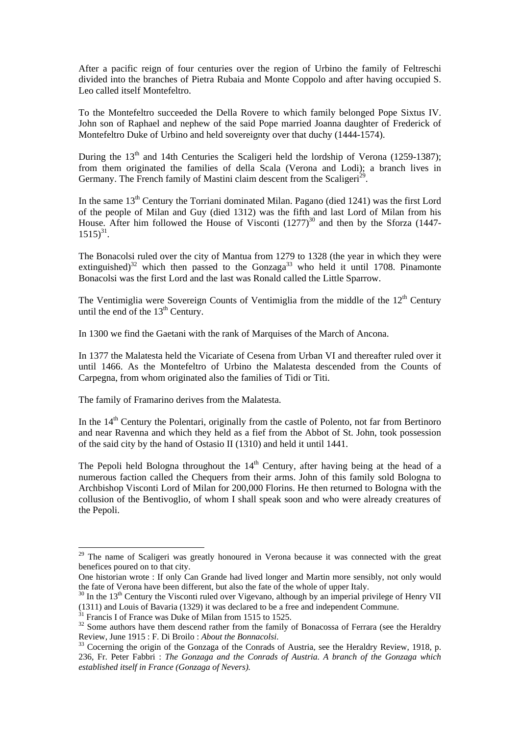After a pacific reign of four centuries over the region of Urbino the family of Feltreschi divided into the branches of Pietra Rubaia and Monte Coppolo and after having occupied S. Leo called itself Montefeltro.

To the Montefeltro succeeded the Della Rovere to which family belonged Pope Sixtus IV. John son of Raphael and nephew of the said Pope married Joanna daughter of Frederick of Montefeltro Duke of Urbino and held sovereignty over that duchy (1444-1574).

During the  $13<sup>th</sup>$  and 14th Centuries the Scaligeri held the lordship of Verona (1259-1387); from them originated the families of della Scala (Verona and Lodi); a branch lives in Germany. The French family of Mastini claim descent from the Scaligeri<sup>29</sup>.

In the same 13<sup>th</sup> Century the Torriani dominated Milan. Pagano (died 1241) was the first Lord of the people of Milan and Guy (died 1312) was the fifth and last Lord of Milan from his House. After him followed the House of Visconti  $(1277)^{30}$  and then by the Sforza (1447- $1515)^{31}$ .

The Bonacolsi ruled over the city of Mantua from 1279 to 1328 (the year in which they were extinguished)<sup>32</sup> which then passed to the Gonzaga<sup>33</sup> who held it until 1708. Pinamonte Bonacolsi was the first Lord and the last was Ronald called the Little Sparrow.

The Ventimiglia were Sovereign Counts of Ventimiglia from the middle of the  $12<sup>th</sup>$  Century until the end of the  $13<sup>th</sup>$  Century.

In 1300 we find the Gaetani with the rank of Marquises of the March of Ancona.

In 1377 the Malatesta held the Vicariate of Cesena from Urban VI and thereafter ruled over it until 1466. As the Montefeltro of Urbino the Malatesta descended from the Counts of Carpegna, from whom originated also the families of Tidi or Titi.

The family of Framarino derives from the Malatesta.

In the 14<sup>th</sup> Century the Polentari, originally from the castle of Polento, not far from Bertinoro and near Ravenna and which they held as a fief from the Abbot of St. John, took possession of the said city by the hand of Ostasio II (1310) and held it until 1441.

The Pepoli held Bologna throughout the  $14<sup>th</sup>$  Century, after having being at the head of a numerous faction called the Chequers from their arms. John of this family sold Bologna to Archbishop Visconti Lord of Milan for 200,000 Florins. He then returned to Bologna with the collusion of the Bentivoglio, of whom I shall speak soon and who were already creatures of the Pepoli.

<sup>&</sup>lt;sup>29</sup> The name of Scaligeri was greatly honoured in Verona because it was connected with the great benefices poured on to that city.

One historian wrote : If only Can Grande had lived longer and Martin more sensibly, not only would the fate of Verona have been different, but also the fate of the whole of upper Italy.

 $30$  In the 13<sup>th</sup> Century the Visconti ruled over Vigevano, although by an imperial privilege of Henry VII (1311) and Louis of Bavaria (1329) it was declared to be a free and independent Commune.

<sup>&</sup>lt;sup>31</sup> Francis I of France was Duke of Milan from 1515 to 1525.

<sup>&</sup>lt;sup>32</sup> Some authors have them descend rather from the family of Bonacossa of Ferrara (see the Heraldry Review, June 1915 : F. Di Broilo : *About the Bonnacolsi*.<br><sup>33</sup> Cocerning the origin of the Gonzaga of the Conrads of Austria, see the Heraldry Review, 1918, p.

<sup>236,</sup> Fr. Peter Fabbri : *The Gonzaga and the Conrads of Austria. A branch of the Gonzaga which established itself in France (Gonzaga of Nevers).*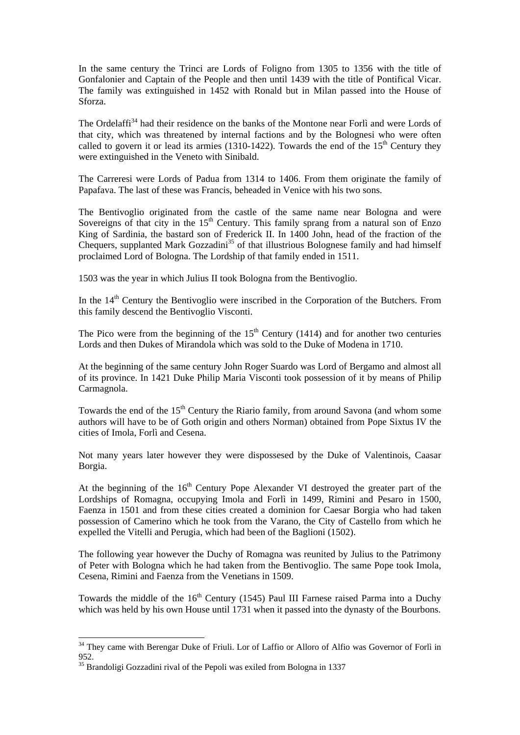In the same century the Trinci are Lords of Foligno from 1305 to 1356 with the title of Gonfalonier and Captain of the People and then until 1439 with the title of Pontifical Vicar. The family was extinguished in 1452 with Ronald but in Milan passed into the House of Sforza.

The Ordelaffi<sup>34</sup> had their residence on the banks of the Montone near Forlì and were Lords of that city, which was threatened by internal factions and by the Bolognesi who were often called to govern it or lead its armies (1310-1422). Towards the end of the  $15<sup>th</sup>$  Century they were extinguished in the Veneto with Sinibald.

The Carreresi were Lords of Padua from 1314 to 1406. From them originate the family of Papafava. The last of these was Francis, beheaded in Venice with his two sons.

The Bentivoglio originated from the castle of the same name near Bologna and were Sovereigns of that city in the  $15<sup>th</sup>$  Century. This family sprang from a natural son of Enzo King of Sardinia, the bastard son of Frederick II. In 1400 John, head of the fraction of the Chequers, supplanted Mark Gozzadini<sup>35</sup> of that illustrious Bolognese family and had himself proclaimed Lord of Bologna. The Lordship of that family ended in 1511.

1503 was the year in which Julius II took Bologna from the Bentivoglio.

In the  $14<sup>th</sup>$  Century the Bentivoglio were inscribed in the Corporation of the Butchers. From this family descend the Bentivoglio Visconti.

The Pico were from the beginning of the  $15<sup>th</sup>$  Century (1414) and for another two centuries Lords and then Dukes of Mirandola which was sold to the Duke of Modena in 1710.

At the beginning of the same century John Roger Suardo was Lord of Bergamo and almost all of its province. In 1421 Duke Philip Maria Visconti took possession of it by means of Philip Carmagnola.

Towards the end of the 15<sup>th</sup> Century the Riario family, from around Savona (and whom some authors will have to be of Goth origin and others Norman) obtained from Pope Sixtus IV the cities of Imola, Forlì and Cesena.

Not many years later however they were dispossesed by the Duke of Valentinois, Caasar Borgia.

At the beginning of the  $16<sup>th</sup>$  Century Pope Alexander VI destroyed the greater part of the Lordships of Romagna, occupying Imola and Forlì in 1499, Rimini and Pesaro in 1500, Faenza in 1501 and from these cities created a dominion for Caesar Borgia who had taken possession of Camerino which he took from the Varano, the City of Castello from which he expelled the Vitelli and Perugia, which had been of the Baglioni (1502).

The following year however the Duchy of Romagna was reunited by Julius to the Patrimony of Peter with Bologna which he had taken from the Bentivoglio. The same Pope took Imola, Cesena, Rimini and Faenza from the Venetians in 1509.

Towards the middle of the  $16<sup>th</sup>$  Century (1545) Paul III Farnese raised Parma into a Duchy which was held by his own House until 1731 when it passed into the dynasty of the Bourbons.

<sup>&</sup>lt;sup>34</sup> They came with Berengar Duke of Friuli. Lor of Laffio or Alloro of Alfio was Governor of Forlì in 952.

<sup>&</sup>lt;sup>35</sup> Brandoligi Gozzadini rival of the Pepoli was exiled from Bologna in 1337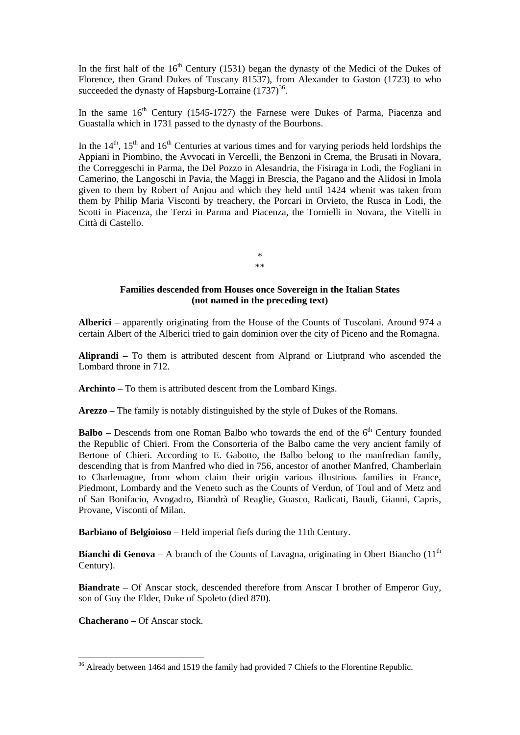In the first half of the  $16<sup>th</sup>$  Century (1531) began the dynasty of the Medici of the Dukes of Florence, then Grand Dukes of Tuscany 81537), from Alexander to Gaston (1723) to who succeeded the dynasty of Hapsburg-Lorraine  $(1737)^{36}$ .

In the same  $16<sup>th</sup>$  Century (1545-1727) the Farnese were Dukes of Parma, Piacenza and Guastalla which in 1731 passed to the dynasty of the Bourbons.

In the  $14<sup>th</sup>$ ,  $15<sup>th</sup>$  and  $16<sup>th</sup>$  Centuries at various times and for varying periods held lordships the Appiani in Piombino, the Avvocati in Vercelli, the Benzoni in Crema, the Brusati in Novara, the Correggeschi in Parma, the Del Pozzo in Alesandria, the Fisiraga in Lodi, the Fogliani in Camerino, the Langoschi in Pavia, the Maggi in Brescia, the Pagano and the Alidosi in Imola given to them by Robert of Anjou and which they held until 1424 whenit was taken from them by Philip Maria Visconti by treachery, the Porcari in Orvieto, the Rusca in Lodi, the Scotti in Piacenza, the Terzi in Parma and Piacenza, the Tornielli in Novara, the Vitelli in Città di Castello.

> \* \*\*

## **Families descended from Houses once Sovereign in the Italian States (not named in the preceding text)**

**Alberici** – apparently originating from the House of the Counts of Tuscolani. Around 974 a certain Albert of the Alberici tried to gain dominion over the city of Piceno and the Romagna.

**Aliprandi** – To them is attributed descent from Alprand or Liutprand who ascended the Lombard throne in 712.

**Archinto** – To them is attributed descent from the Lombard Kings.

**Arezzo** – The family is notably distinguished by the style of Dukes of the Romans.

**Balbo** – Descends from one Roman Balbo who towards the end of the  $6<sup>th</sup>$  Century founded the Republic of Chieri. From the Consorteria of the Balbo came the very ancient family of Bertone of Chieri. According to E. Gabotto, the Balbo belong to the manfredian family, descending that is from Manfred who died in 756, ancestor of another Manfred, Chamberlain to Charlemagne, from whom claim their origin various illustrious families in France, Piedmont, Lombardy and the Veneto such as the Counts of Verdun, of Toul and of Metz and of San Bonifacio, Avogadro, Biandrà of Reaglie, Guasco, Radicati, Baudi, Gianni, Capris, Provane, Visconti of Milan.

**Barbiano of Belgioioso** – Held imperial fiefs during the 11th Century.

**Bianchi di Genova** – A branch of the Counts of Lavagna, originating in Obert Biancho (11<sup>th</sup>) Century).

**Biandrate** – Of Anscar stock, descended therefore from Anscar I brother of Emperor Guy, son of Guy the Elder, Duke of Spoleto (died 870).

**Chacherano** – Of Anscar stock.

 $\overline{a}$ 

 $36$  Already between 1464 and 1519 the family had provided 7 Chiefs to the Florentine Republic.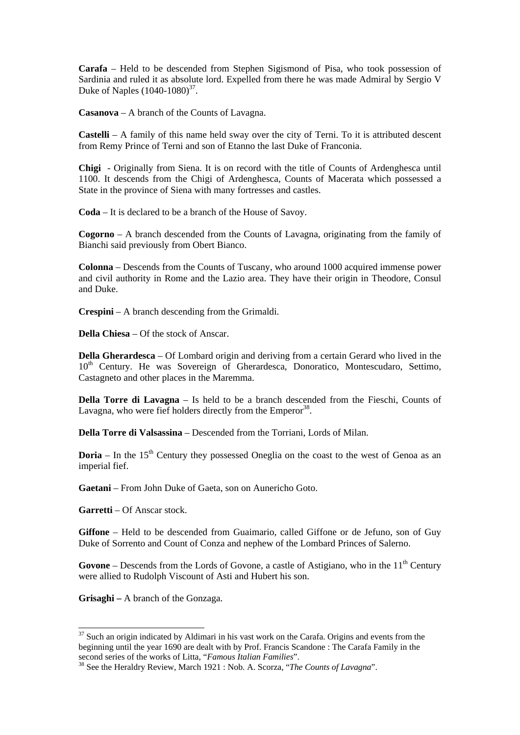**Carafa** – Held to be descended from Stephen Sigismond of Pisa, who took possession of Sardinia and ruled it as absolute lord. Expelled from there he was made Admiral by Sergio V Duke of Naples  $(1040-1080)^{37}$ .

**Casanova** – A branch of the Counts of Lavagna.

**Castelli** – A family of this name held sway over the city of Terni. To it is attributed descent from Remy Prince of Terni and son of Etanno the last Duke of Franconia.

**Chigi** - Originally from Siena. It is on record with the title of Counts of Ardenghesca until 1100. It descends from the Chigi of Ardenghesca, Counts of Macerata which possessed a State in the province of Siena with many fortresses and castles.

**Coda** – It is declared to be a branch of the House of Savoy.

**Cogorno** – A branch descended from the Counts of Lavagna, originating from the family of Bianchi said previously from Obert Bianco.

**Colonna** – Descends from the Counts of Tuscany, who around 1000 acquired immense power and civil authority in Rome and the Lazio area. They have their origin in Theodore, Consul and Duke.

**Crespini** – A branch descending from the Grimaldi.

**Della Chiesa** – Of the stock of Anscar.

**Della Gherardesca** – Of Lombard origin and deriving from a certain Gerard who lived in the 10<sup>th</sup> Century. He was Sovereign of Gherardesca, Donoratico, Montescudaro, Settimo, Castagneto and other places in the Maremma.

**Della Torre di Lavagna** – Is held to be a branch descended from the Fieschi, Counts of Lavagna, who were fief holders directly from the Emperor<sup>38</sup>.

**Della Torre di Valsassina** – Descended from the Torriani, Lords of Milan.

**Doria** – In the  $15<sup>th</sup>$  Century they possessed Oneglia on the coast to the west of Genoa as an imperial fief.

**Gaetani** – From John Duke of Gaeta, son on Aunericho Goto.

**Garretti** – Of Anscar stock.

**Giffone** – Held to be descended from Guaimario, called Giffone or de Jefuno, son of Guy Duke of Sorrento and Count of Conza and nephew of the Lombard Princes of Salerno.

**Govone** – Descends from the Lords of Govone, a castle of Astigiano, who in the  $11<sup>th</sup>$  Century were allied to Rudolph Viscount of Asti and Hubert his son.

**Grisaghi –** A branch of the Gonzaga.

1

 $37$  Such an origin indicated by Aldimari in his vast work on the Carafa. Origins and events from the beginning until the year 1690 are dealt with by Prof. Francis Scandone : The Carafa Family in the second series of the works of Litta, "Famous Italian Families".

<sup>&</sup>lt;sup>38</sup> See the Heraldry Review, March 1921 : Nob. A. Scorza, "*The Counts of Lavagna*".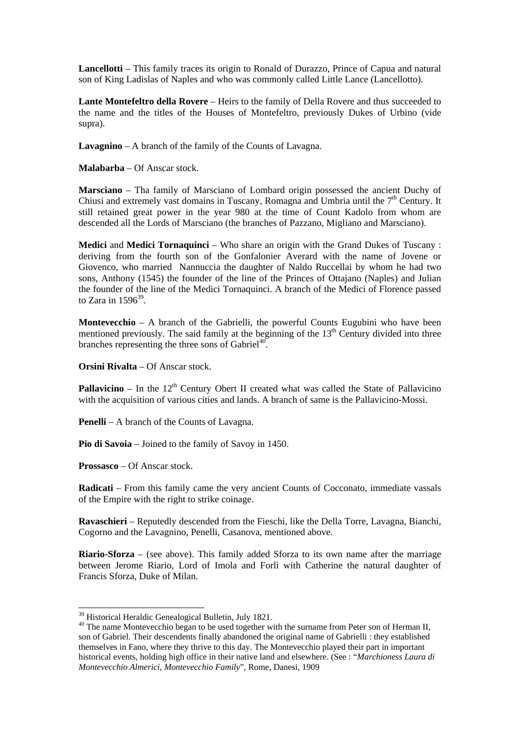**Lancellotti** – This family traces its origin to Ronald of Durazzo, Prince of Capua and natural son of King Ladislas of Naples and who was commonly called Little Lance (Lancellotto).

**Lante Montefeltro della Rovere** – Heirs to the family of Della Rovere and thus succeeded to the name and the titles of the Houses of Montefeltro, previously Dukes of Urbino (vide supra).

**Lavagnino** – A branch of the family of the Counts of Lavagna.

**Malabarba** – Of Anscar stock.

**Marsciano** – Tha family of Marsciano of Lombard origin possessed the ancient Duchy of Chiusi and extremely vast domains in Tuscany, Romagna and Umbria until the  $7<sup>th</sup>$  Century. It still retained great power in the year 980 at the time of Count Kadolo from whom are descended all the Lords of Marsciano (the branches of Pazzano, Migliano and Marsciano).

**Medici** and **Medici Tornaquinci** – Who share an origin with the Grand Dukes of Tuscany : deriving from the fourth son of the Gonfalonier Averard with the name of Jovene or Giovenco, who married Nannuccia the daughter of Naldo Ruccellai by whom he had two sons, Anthony (1545) the founder of the line of the Princes of Ottajano (Naples) and Julian the founder of the line of the Medici Tornaquinci. A branch of the Medici of Florence passed to Zara in  $1596^{39}$ .

**Montevecchio** – A branch of the Gabrielli, the powerful Counts Eugubini who have been mentioned previously. The said family at the beginning of the  $13<sup>th</sup>$  Century divided into three branches representing the three sons of  $\text{Gabriel}^{40}$ .

**Orsini Rivalta** – Of Anscar stock.

**Pallavicino** – In the  $12<sup>th</sup>$  Century Obert II created what was called the State of Pallavicino with the acquisition of various cities and lands. A branch of same is the Pallavicino-Mossi.

**Penelli** – A branch of the Counts of Lavagna.

**Pio di Savoia** – Joined to the family of Savoy in 1450.

**Prossasco** – Of Anscar stock.

-

**Radicati** – From this family came the very ancient Counts of Cocconato, immediate vassals of the Empire with the right to strike coinage.

**Ravaschieri** – Reputedly descended from the Fieschi, like the Della Torre, Lavagna, Bianchi, Cogorno and the Lavagnino, Penelli, Casanova, mentioned above.

**Riario-Sforza** – (see above). This family added Sforza to its own name after the marriage between Jerome Riario, Lord of Imola and Forlì with Catherine the natural daughter of Francis Sforza, Duke of Milan.

<sup>39</sup> Historical Heraldic Genealogical Bulletin, July 1821.

<sup>&</sup>lt;sup>40</sup> The name Montevecchio began to be used together with the surname from Peter son of Herman II, son of Gabriel. Their descendents finally abandoned the original name of Gabrielli : they established themselves in Fano, where they thrive to this day. The Montevecchio played their part in important historical events, holding high office in their native land and elsewhere. (See : "*Marchioness Laura di Montevecchio Almerici, Montevecchio Family*", Rome, Danesi, 1909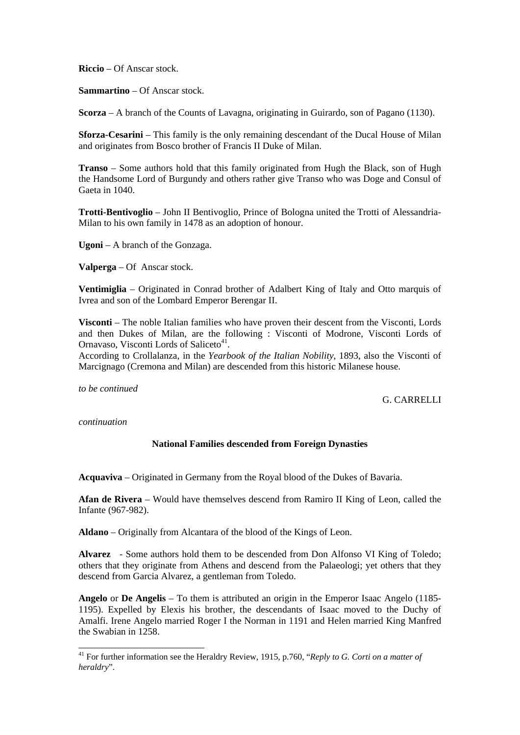**Riccio** – Of Anscar stock.

**Sammartino** – Of Anscar stock.

**Scorza** – A branch of the Counts of Lavagna, originating in Guirardo, son of Pagano (1130).

**Sforza-Cesarini** – This family is the only remaining descendant of the Ducal House of Milan and originates from Bosco brother of Francis II Duke of Milan.

**Transo** – Some authors hold that this family originated from Hugh the Black, son of Hugh the Handsome Lord of Burgundy and others rather give Transo who was Doge and Consul of Gaeta in 1040.

**Trotti-Bentivoglio** – John II Bentivoglio, Prince of Bologna united the Trotti of Alessandria-Milan to his own family in 1478 as an adoption of honour.

**Ugoni** – A branch of the Gonzaga.

**Valperga** – Of Anscar stock.

**Ventimiglia** – Originated in Conrad brother of Adalbert King of Italy and Otto marquis of Ivrea and son of the Lombard Emperor Berengar II.

**Visconti** – The noble Italian families who have proven their descent from the Visconti, Lords and then Dukes of Milan, are the following : Visconti of Modrone, Visconti Lords of Ornavaso, Visconti Lords of Saliceto<sup>41</sup>.

According to Crollalanza, in the *Yearbook of the Italian Nobility*, 1893, also the Visconti of Marcignago (Cremona and Milan) are descended from this historic Milanese house.

*to be continued* 

G. CARRELLI

*continuation* 

-

# **National Families descended from Foreign Dynasties**

**Acquaviva** – Originated in Germany from the Royal blood of the Dukes of Bavaria.

**Afan de Rivera** – Would have themselves descend from Ramiro II King of Leon, called the Infante (967-982).

**Aldano** – Originally from Alcantara of the blood of the Kings of Leon.

**Alvarez** - Some authors hold them to be descended from Don Alfonso VI King of Toledo; others that they originate from Athens and descend from the Palaeologi; yet others that they descend from Garcia Alvarez, a gentleman from Toledo.

**Angelo** or **De Angelis** – To them is attributed an origin in the Emperor Isaac Angelo (1185- 1195). Expelled by Elexis his brother, the descendants of Isaac moved to the Duchy of Amalfi. Irene Angelo married Roger I the Norman in 1191 and Helen married King Manfred the Swabian in 1258.

<sup>41</sup> For further information see the Heraldry Review, 1915, p.760, "*Reply to G. Corti on a matter of heraldry*".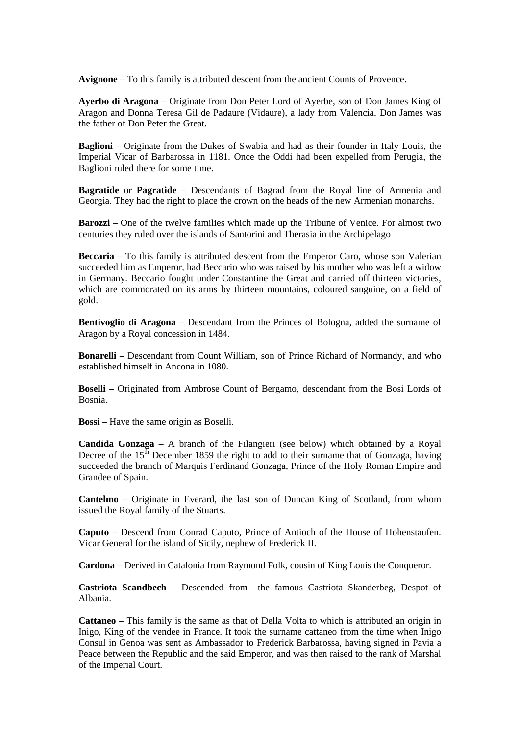**Avignone** – To this family is attributed descent from the ancient Counts of Provence.

**Ayerbo di Aragona** – Originate from Don Peter Lord of Ayerbe, son of Don James King of Aragon and Donna Teresa Gil de Padaure (Vidaure), a lady from Valencia. Don James was the father of Don Peter the Great.

**Baglioni** – Originate from the Dukes of Swabia and had as their founder in Italy Louis, the Imperial Vicar of Barbarossa in 1181. Once the Oddi had been expelled from Perugia, the Baglioni ruled there for some time.

**Bagratide** or **Pagratide** – Descendants of Bagrad from the Royal line of Armenia and Georgia. They had the right to place the crown on the heads of the new Armenian monarchs.

**Barozzi** – One of the twelve families which made up the Tribune of Venice. For almost two centuries they ruled over the islands of Santorini and Therasia in the Archipelago

**Beccaria** – To this family is attributed descent from the Emperor Caro, whose son Valerian succeeded him as Emperor, had Beccario who was raised by his mother who was left a widow in Germany. Beccario fought under Constantine the Great and carried off thirteen victories, which are commorated on its arms by thirteen mountains, coloured sanguine, on a field of gold.

**Bentivoglio di Aragona** – Descendant from the Princes of Bologna, added the surname of Aragon by a Royal concession in 1484.

**Bonarelli** – Descendant from Count William, son of Prince Richard of Normandy, and who established himself in Ancona in 1080.

**Boselli** – Originated from Ambrose Count of Bergamo, descendant from the Bosi Lords of Bosnia.

**Bossi** – Have the same origin as Boselli.

**Candida Gonzaga** – A branch of the Filangieri (see below) which obtained by a Royal Decree of the  $15<sup>th</sup>$  December 1859 the right to add to their surname that of Gonzaga, having succeeded the branch of Marquis Ferdinand Gonzaga, Prince of the Holy Roman Empire and Grandee of Spain.

**Cantelmo** – Originate in Everard, the last son of Duncan King of Scotland, from whom issued the Royal family of the Stuarts.

**Caputo** – Descend from Conrad Caputo, Prince of Antioch of the House of Hohenstaufen. Vicar General for the island of Sicily, nephew of Frederick II.

**Cardona** – Derived in Catalonia from Raymond Folk, cousin of King Louis the Conqueror.

**Castriota Scandbech** – Descended from the famous Castriota Skanderbeg, Despot of Albania.

**Cattaneo** – This family is the same as that of Della Volta to which is attributed an origin in Inigo, King of the vendee in France. It took the surname cattaneo from the time when Inigo Consul in Genoa was sent as Ambassador to Frederick Barbarossa, having signed in Pavia a Peace between the Republic and the said Emperor, and was then raised to the rank of Marshal of the Imperial Court.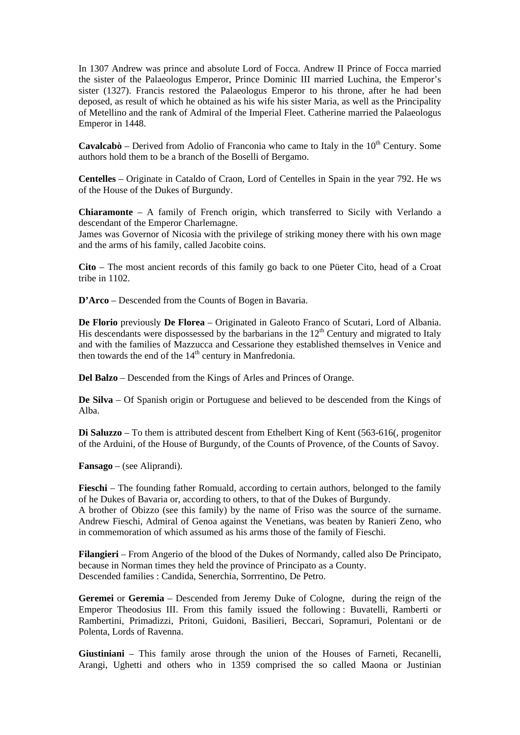In 1307 Andrew was prince and absolute Lord of Focca. Andrew II Prince of Focca married the sister of the Palaeologus Emperor, Prince Dominic III married Luchina, the Emperor's sister (1327). Francis restored the Palaeologus Emperor to his throne, after he had been deposed, as result of which he obtained as his wife his sister Maria, as well as the Principality of Metellino and the rank of Admiral of the Imperial Fleet. Catherine married the Palaeologus Emperor in 1448.

**Cavalcabò** – Derived from Adolio of Franconia who came to Italy in the 10<sup>th</sup> Century. Some authors hold them to be a branch of the Boselli of Bergamo.

**Centelles** – Originate in Cataldo of Craon, Lord of Centelles in Spain in the year 792. He ws of the House of the Dukes of Burgundy.

**Chiaramonte** – A family of French origin, which transferred to Sicily with Verlando a descendant of the Emperor Charlemagne.

James was Governor of Nicosia with the privilege of striking money there with his own mage and the arms of his family, called Jacobite coins.

**Cito** – The most ancient records of this family go back to one Püeter Cito, head of a Croat tribe in 1102.

**D'Arco** – Descended from the Counts of Bogen in Bavaria.

**De Florio** previously **De Florea** – Originated in Galeoto Franco of Scutari, Lord of Albania. His descendants were dispossessed by the barbarians in the  $12<sup>th</sup>$  Century and migrated to Italy and with the families of Mazzucca and Cessarione they established themselves in Venice and then towards the end of the  $14<sup>th</sup>$  century in Manfredonia.

**Del Balzo** – Descended from the Kings of Arles and Princes of Orange.

**De Silva** – Of Spanish origin or Portuguese and believed to be descended from the Kings of Alba.

**Di Saluzzo** – To them is attributed descent from Ethelbert King of Kent (563-616(, progenitor of the Arduini, of the House of Burgundy, of the Counts of Provence, of the Counts of Savoy.

**Fansago** – (see Aliprandi).

**Fieschi** – The founding father Romuald, according to certain authors, belonged to the family of he Dukes of Bavaria or, according to others, to that of the Dukes of Burgundy. A brother of Obizzo (see this family) by the name of Friso was the source of the surname. Andrew Fieschi, Admiral of Genoa against the Venetians, was beaten by Ranieri Zeno, who

in commemoration of which assumed as his arms those of the family of Fieschi. **Filangieri** – From Angerio of the blood of the Dukes of Normandy, called also De Principato, because in Norman times they held the province of Principato as a County.

Descended families : Candida, Senerchia, Sorrrentino, De Petro.

**Geremei** or **Geremia** – Descended from Jeremy Duke of Cologne, during the reign of the Emperor Theodosius III. From this family issued the following : Buvatelli, Ramberti or Rambertini, Primadizzi, Pritoni, Guidoni, Basilieri, Beccari, Sopramuri, Polentani or de Polenta, Lords of Ravenna.

**Giustiniani** – This family arose through the union of the Houses of Farneti, Recanelli, Arangi, Ughetti and others who in 1359 comprised the so called Maona or Justinian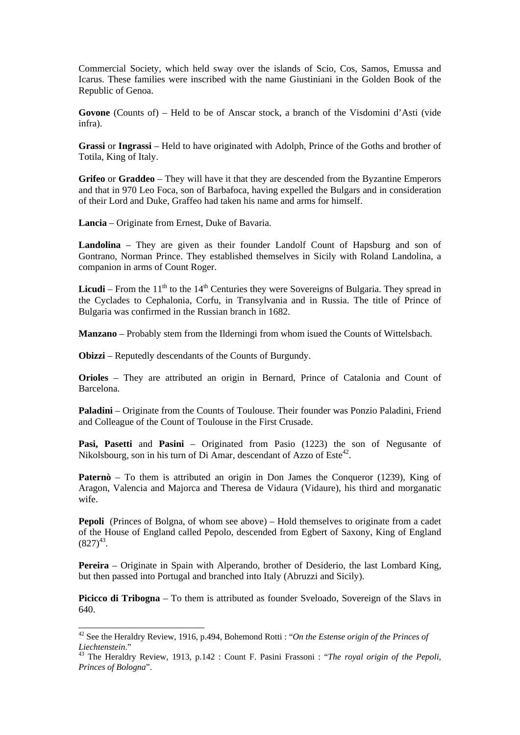Commercial Society, which held sway over the islands of Scio, Cos, Samos, Emussa and Icarus. These families were inscribed with the name Giustiniani in the Golden Book of the Republic of Genoa.

**Govone** (Counts of) – Held to be of Anscar stock, a branch of the Visdomini d'Asti (vide infra).

**Grassi** or **Ingrassi** – Held to have originated with Adolph, Prince of the Goths and brother of Totila, King of Italy.

**Grifeo** or **Graddeo** – They will have it that they are descended from the Byzantine Emperors and that in 970 Leo Foca, son of Barbafoca, having expelled the Bulgars and in consideration of their Lord and Duke, Graffeo had taken his name and arms for himself.

**Lancia** – Originate from Ernest, Duke of Bavaria.

**Landolina** – They are given as their founder Landolf Count of Hapsburg and son of Gontrano, Norman Prince. They established themselves in Sicily with Roland Landolina, a companion in arms of Count Roger.

**Licudi** – From the  $11<sup>th</sup>$  to the  $14<sup>th</sup>$  Centuries they were Sovereigns of Bulgaria. They spread in the Cyclades to Cephalonia, Corfu, in Transylvania and in Russia. The title of Prince of Bulgaria was confirmed in the Russian branch in 1682.

**Manzano** – Probably stem from the Ilderningi from whom isued the Counts of Wittelsbach.

**Obizzi** – Reputedly descendants of the Counts of Burgundy.

1

**Orioles** – They are attributed an origin in Bernard, Prince of Catalonia and Count of Barcelona.

**Paladini** – Originate from the Counts of Toulouse. Their founder was Ponzio Paladini, Friend and Colleague of the Count of Toulouse in the First Crusade.

**Pasi, Pasetti** and **Pasini** – Originated from Pasio (1223) the son of Negusante of Nikolsbourg, son in his turn of Di Amar, descendant of Azzo of Este<sup>42</sup>.

**Paternò** – To them is attributed an origin in Don James the Conqueror (1239), King of Aragon, Valencia and Majorca and Theresa de Vidaura (Vidaure), his third and morganatic wife.

**Pepoli** (Princes of Bolgna, of whom see above) – Hold themselves to originate from a cadet of the House of England called Pepolo, descended from Egbert of Saxony, King of England  $(827)^{43}$ .

**Pereira** – Originate in Spain with Alperando, brother of Desiderio, the last Lombard King, but then passed into Portugal and branched into Italy (Abruzzi and Sicily).

**Picicco di Tribogna** – To them is attributed as founder Sveloado, Sovereign of the Slavs in 640.

<sup>42</sup> See the Heraldry Review, 1916, p.494, Bohemond Rotti : "*On the Estense origin of the Princes of Liechtenstein*." 43 The Heraldry Review, 1913, p.142 : Count F. Pasini Frassoni : "*The royal origin of the Pepoli,*

*Princes of Bologna*".